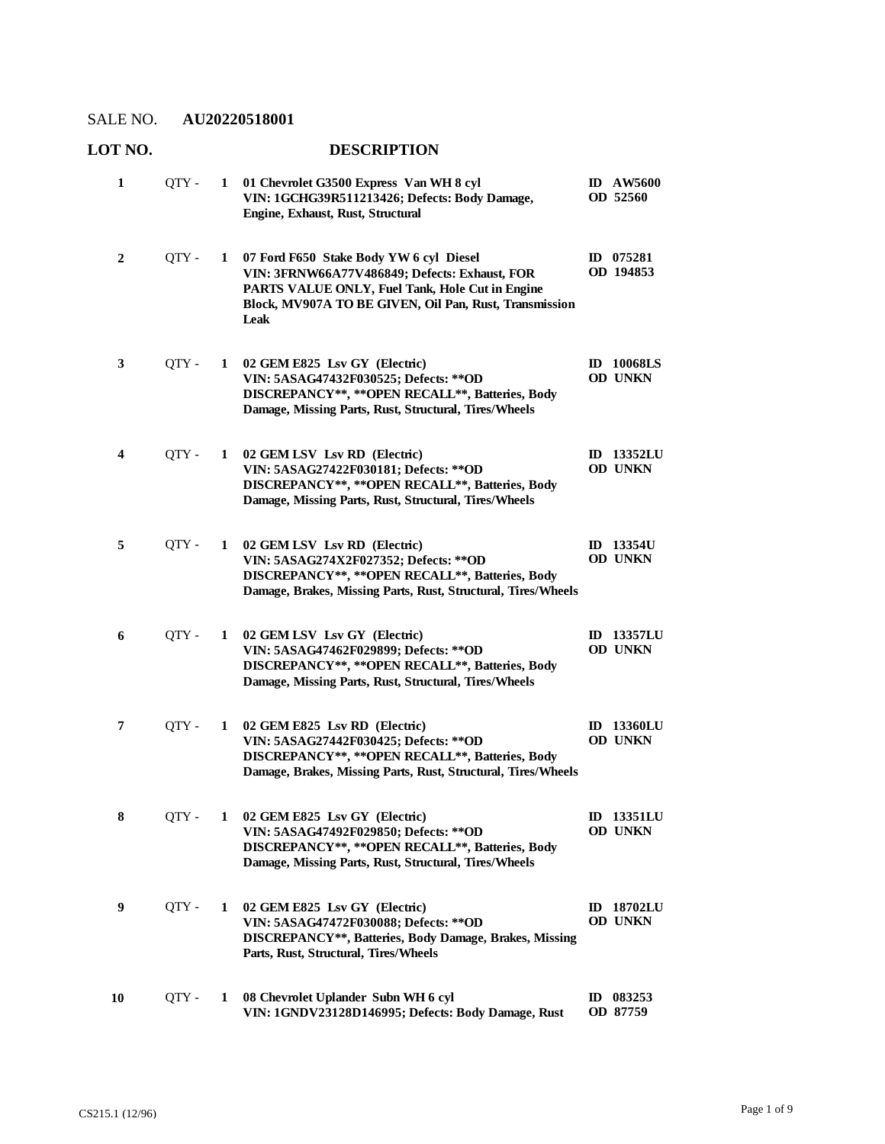| 1  | QTY - | 1            | 01 Chevrolet G3500 Express Van WH 8 cyl<br>VIN: 1GCHG39R511213426; Defects: Body Damage,<br>Engine, Exhaust, Rust, Structural                                                                                 |              | <b>ID AW5600</b><br>OD 52560        |
|----|-------|--------------|---------------------------------------------------------------------------------------------------------------------------------------------------------------------------------------------------------------|--------------|-------------------------------------|
| 2  | QTY - | 1            | 07 Ford F650 Stake Body YW 6 cyl Diesel<br>VIN: 3FRNW66A77V486849; Defects: Exhaust, FOR<br>PARTS VALUE ONLY, Fuel Tank, Hole Cut in Engine<br>Block, MV907A TO BE GIVEN, Oil Pan, Rust, Transmission<br>Leak |              | ID 075281<br>OD 194853              |
| 3  | QTY - | $\mathbf{1}$ | 02 GEM E825 Lsv GY (Electric)<br>VIN: 5ASAG47432F030525; Defects: ** OD<br>DISCREPANCY**, ** OPEN RECALL**, Batteries, Body<br>Damage, Missing Parts, Rust, Structural, Tires/Wheels                          |              | <b>ID</b> 10068LS<br>OD UNKN        |
| 4  | QTY - | 1            | 02 GEM LSV Lsv RD (Electric)<br>VIN: 5ASAG27422F030181; Defects: ** OD<br>DISCREPANCY**, ** OPEN RECALL**, Batteries, Body<br>Damage, Missing Parts, Rust, Structural, Tires/Wheels                           |              | <b>ID</b> 13352LU<br>OD UNKN        |
| 5  | OTY - | 1            | 02 GEM LSV Lsv RD (Electric)<br>VIN: 5ASAG274X2F027352; Defects: ** OD<br>DISCREPANCY**, ** OPEN RECALL**, Batteries, Body<br>Damage, Brakes, Missing Parts, Rust, Structural, Tires/Wheels                   |              | ID $13354U$<br>OD UNKN              |
| 6  | QTY - | 1            | 02 GEM LSV Lsv GY (Electric)<br>VIN: 5ASAG47462F029899; Defects: ** OD<br>DISCREPANCY**, ** OPEN RECALL**, Batteries, Body<br>Damage, Missing Parts, Rust, Structural, Tires/Wheels                           |              | <b>ID</b> 13357LU<br><b>OD UNKN</b> |
| 7  | OTY - | $\mathbf{1}$ | 02 GEM E825 Lsv RD (Electric)<br>VIN: 5ASAG27442F030425; Defects: ** OD<br>DISCREPANCY**, ** OPEN RECALL**, Batteries, Body<br>Damage, Brakes, Missing Parts, Rust, Structural, Tires/Wheels                  |              | <b>ID 13360LU</b><br>OD UNKN        |
| 8  | QTY - | $\mathbf{1}$ | 02 GEM E825 Lsv GY (Electric)<br>VIN: 5ASAG47492F029850; Defects: ** OD<br>DISCREPANCY**, ** OPEN RECALL**, Batteries, Body<br>Damage, Missing Parts, Rust, Structural, Tires/Wheels                          |              | <b>ID</b> 13351LU<br><b>OD UNKN</b> |
| 9  | QTY - | 1            | 02 GEM E825 Lsv GY (Electric)<br>VIN: 5ASAG47472F030088; Defects: ** OD<br>DISCREPANCY**, Batteries, Body Damage, Brakes, Missing<br>Parts, Rust, Structural, Tires/Wheels                                    | $\mathbf{D}$ | <b>18702LU</b><br><b>OD UNKN</b>    |
| 10 | QTY - | 1            | 08 Chevrolet Uplander Subn WH 6 cyl<br>VIN: 1GNDV23128D146995; Defects: Body Damage, Rust                                                                                                                     |              | ID 083253<br>OD 87759               |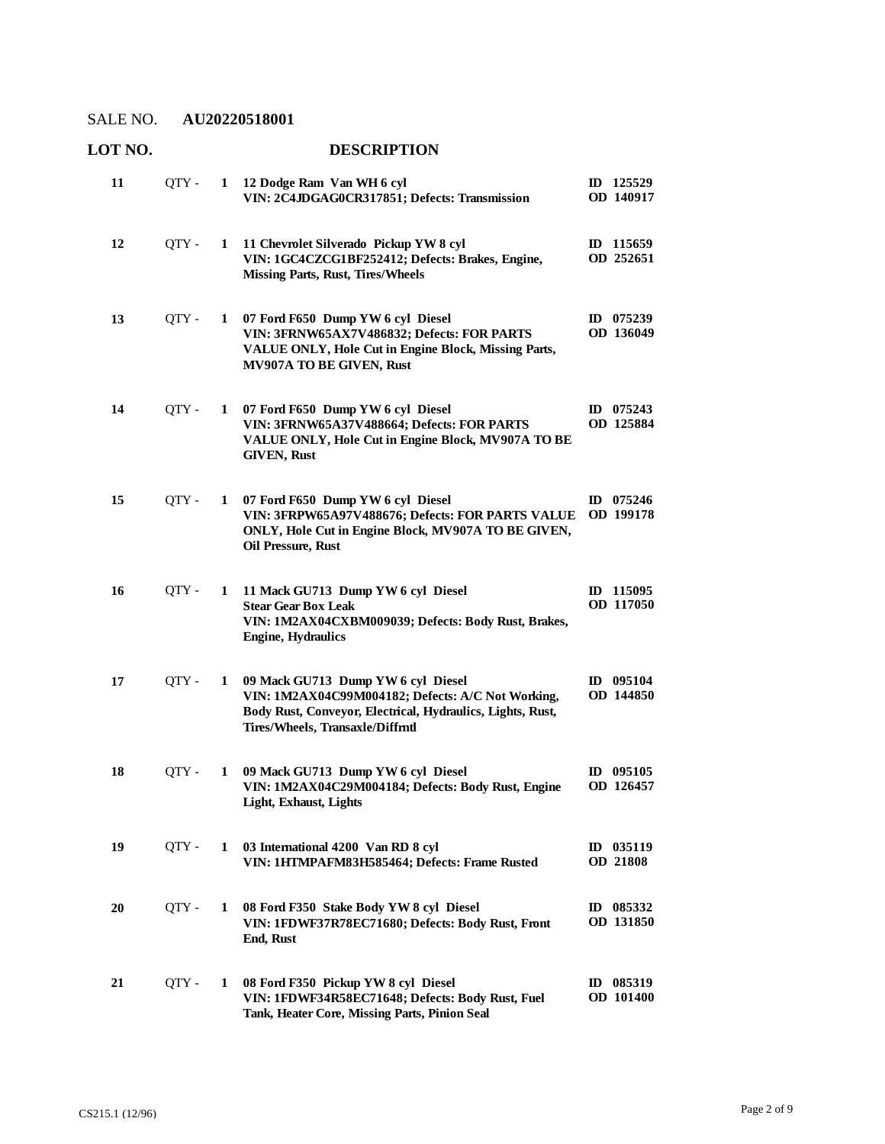| 11 | OTY - | 1 | 12 Dodge Ram Van WH 6 cyl<br>VIN: 2C4JDGAG0CR317851; Defects: Transmission                                                                                                               | ID 125529<br>OD 140917              |
|----|-------|---|------------------------------------------------------------------------------------------------------------------------------------------------------------------------------------------|-------------------------------------|
| 12 | QTY - | 1 | 11 Chevrolet Silverado Pickup YW 8 cyl<br>VIN: 1GC4CZCG1BF252412; Defects: Brakes, Engine,<br><b>Missing Parts, Rust, Tires/Wheels</b>                                                   | 115659<br>ID<br>OD 252651           |
| 13 | QTY - | 1 | 07 Ford F650 Dump YW 6 cyl Diesel<br>VIN: 3FRNW65AX7V486832; Defects: FOR PARTS<br>VALUE ONLY, Hole Cut in Engine Block, Missing Parts,<br>MV907A TO BE GIVEN, Rust                      | $ID$ 075239<br>OD 136049            |
| 14 | QTY - | 1 | 07 Ford F650 Dump YW 6 cyl Diesel<br>VIN: 3FRNW65A37V488664; Defects: FOR PARTS<br>VALUE ONLY, Hole Cut in Engine Block, MV907A TO BE<br><b>GIVEN, Rust</b>                              | ID 075243<br>OD 125884              |
| 15 | QTY - | 1 | 07 Ford F650 Dump YW 6 cyl Diesel<br>VIN: 3FRPW65A97V488676; Defects: FOR PARTS VALUE<br>ONLY, Hole Cut in Engine Block, MV907A TO BE GIVEN,<br>Oil Pressure, Rust                       | 075246<br>ID<br><b>OD</b> 199178    |
| 16 | QTY - | 1 | 11 Mack GU713 Dump YW 6 cyl Diesel<br><b>Stear Gear Box Leak</b><br>VIN: 1M2AX04CXBM009039; Defects: Body Rust, Brakes,<br><b>Engine, Hydraulics</b>                                     | ID 115095<br>OD 117050              |
| 17 | QTY - | 1 | 09 Mack GU713 Dump YW 6 cyl Diesel<br>VIN: 1M2AX04C99M004182; Defects: A/C Not Working,<br>Body Rust, Conveyor, Electrical, Hydraulics, Lights, Rust,<br>Tires/Wheels, Transaxle/Diffmtl | ID 095104<br>OD 144850              |
| 18 | QTY - | 1 | 09 Mack GU713 Dump YW 6 cyl Diesel<br>VIN: 1M2AX04C29M004184; Defects: Body Rust, Engine<br><b>Light, Exhaust, Lights</b>                                                                | $ID$ 095105<br>OD 126457            |
| 19 | OTY - | 1 | 03 International 4200 Van RD 8 cyl<br>VIN: 1HTMPAFM83H585464; Defects: Frame Rusted                                                                                                      | ID 035119<br><b>OD 21808</b>        |
| 20 | QTY - | 1 | 08 Ford F350 Stake Body YW 8 cvl Diesel<br>VIN: 1FDWF37R78EC71680; Defects: Body Rust, Front<br>End, Rust                                                                                | 085332<br>$\mathbf{D}$<br>OD 131850 |
| 21 | QTY - | 1 | 08 Ford F350 Pickup YW 8 cyl Diesel<br>VIN: 1FDWF34R58EC71648; Defects: Body Rust, Fuel<br>Tank, Heater Core, Missing Parts, Pinion Seal                                                 | ID 085319<br>OD 101400              |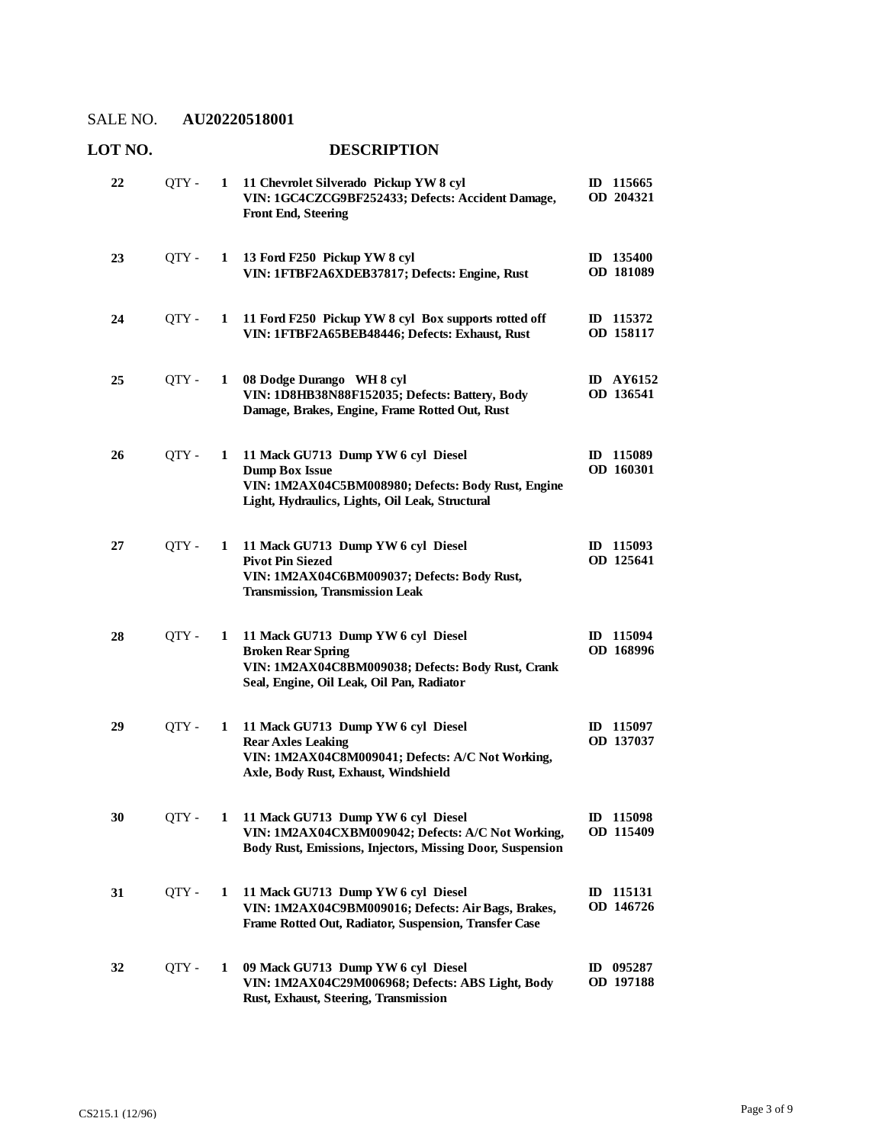| 22 | QTY-  | 1 | 11 Chevrolet Silverado Pickup YW 8 cyl<br>VIN: 1GC4CZCG9BF252433; Defects: Accident Damage,<br><b>Front End, Steering</b>                                            | ID 115665<br>OD 204321        |
|----|-------|---|----------------------------------------------------------------------------------------------------------------------------------------------------------------------|-------------------------------|
| 23 | QTY - | 1 | 13 Ford F250 Pickup YW 8 cyl<br>VIN: 1FTBF2A6XDEB37817; Defects: Engine, Rust                                                                                        | ID 135400<br>OD 181089        |
| 24 | QTY-  | 1 | 11 Ford F250 Pickup YW 8 cyl Box supports rotted off<br>VIN: 1FTBF2A65BEB48446; Defects: Exhaust, Rust                                                               | ID 115372<br>OD 158117        |
| 25 | QTY - | 1 | 08 Dodge Durango WH 8 cyl<br>VIN: 1D8HB38N88F152035; Defects: Battery, Body<br>Damage, Brakes, Engine, Frame Rotted Out, Rust                                        | <b>ID</b> AY6152<br>OD 136541 |
| 26 | QTY - | 1 | 11 Mack GU713 Dump YW 6 cyl Diesel<br><b>Dump Box Issue</b><br>VIN: 1M2AX04C5BM008980; Defects: Body Rust, Engine<br>Light, Hydraulics, Lights, Oil Leak, Structural | ID 115089<br>OD 160301        |
| 27 | OTY - | 1 | 11 Mack GU713 Dump YW 6 cyl Diesel<br><b>Pivot Pin Siezed</b><br>VIN: 1M2AX04C6BM009037; Defects: Body Rust,<br><b>Transmission, Transmission Leak</b>               | ID 115093<br>OD 125641        |
| 28 | QTY - | 1 | 11 Mack GU713 Dump YW 6 cyl Diesel<br><b>Broken Rear Spring</b><br>VIN: 1M2AX04C8BM009038; Defects: Body Rust, Crank<br>Seal, Engine, Oil Leak, Oil Pan, Radiator    | ID 115094<br>OD 168996        |
| 29 | QTY-  | 1 | 11 Mack GU713 Dump YW 6 cyl Diesel<br><b>Rear Axles Leaking</b><br>VIN: 1M2AX04C8M009041; Defects: A/C Not Working,<br>Axle, Body Rust, Exhaust, Windshield          | ID 115097<br>OD 137037        |
| 30 | QTY - |   | 1 11 Mack GU713 Dump YW 6 cyl Diesel<br>VIN: 1M2AX04CXBM009042; Defects: A/C Not Working,<br>Body Rust, Emissions, Injectors, Missing Door, Suspension               | ID 115098<br>OD 115409        |
| 31 | QTY - | 1 | 11 Mack GU713 Dump YW 6 cyl Diesel<br>VIN: 1M2AX04C9BM009016; Defects: Air Bags, Brakes,<br>Frame Rotted Out, Radiator, Suspension, Transfer Case                    | ID 115131<br>OD 146726        |
| 32 | QTY - | 1 | 09 Mack GU713 Dump YW 6 cyl Diesel<br>VIN: 1M2AX04C29M006968; Defects: ABS Light, Body<br>Rust, Exhaust, Steering, Transmission                                      | ID 095287<br>OD 197188        |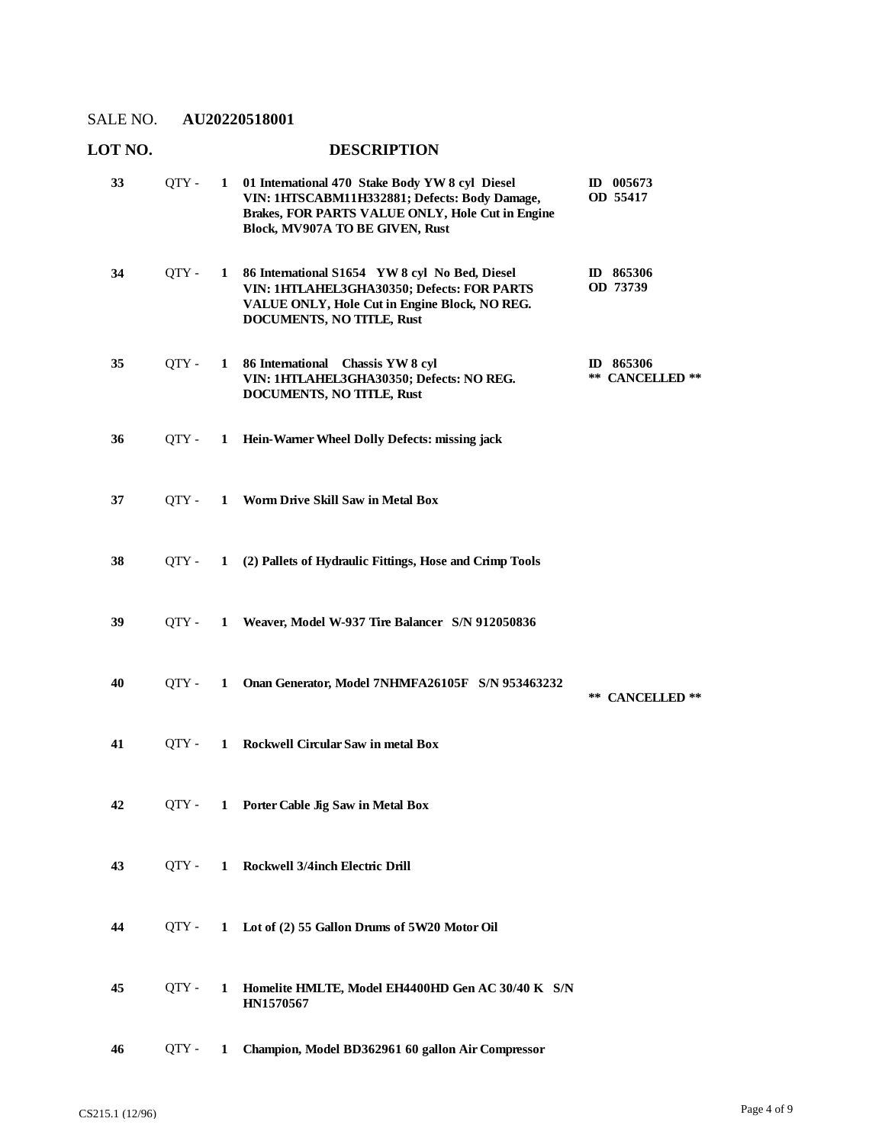| 33 | QTY - | $\mathbf{1}$ | 01 International 470 Stake Body YW 8 cyl Diesel<br>VIN: 1HTSCABM11H332881; Defects: Body Damage,<br>Brakes, FOR PARTS VALUE ONLY, Hole Cut in Engine<br>Block, MV907A TO BE GIVEN, Rust | ID 005673<br>OD 55417        |
|----|-------|--------------|-----------------------------------------------------------------------------------------------------------------------------------------------------------------------------------------|------------------------------|
| 34 | QTY - | $\mathbf{1}$ | 86 International S1654 YW 8 cyl No Bed, Diesel<br>VIN: 1HTLAHEL3GHA30350; Defects: FOR PARTS<br>VALUE ONLY, Hole Cut in Engine Block, NO REG.<br><b>DOCUMENTS, NO TITLE, Rust</b>       | ID 865306<br>OD 73739        |
| 35 | QTY - |              | 1 86 International Chassis YW 8 cyl<br>VIN: 1HTLAHEL3GHA30350; Defects: NO REG.<br>DOCUMENTS, NO TITLE, Rust                                                                            | ID 865306<br>** CANCELLED ** |
| 36 | OTY - | $\mathbf{1}$ | Hein-Warner Wheel Dolly Defects: missing jack                                                                                                                                           |                              |
| 37 | OTY - | $\mathbf{1}$ | <b>Worm Drive Skill Saw in Metal Box</b>                                                                                                                                                |                              |
| 38 | OTY - |              | 1 (2) Pallets of Hydraulic Fittings, Hose and Crimp Tools                                                                                                                               |                              |
| 39 | OTY - | $\mathbf{1}$ | Weaver, Model W-937 Tire Balancer S/N 912050836                                                                                                                                         |                              |
| 40 | OTY - | 1            | Onan Generator, Model 7NHMFA26105F S/N 953463232                                                                                                                                        | ** CANCELLED **              |
| 41 | OTY - | $\mathbf{1}$ | Rockwell Circular Saw in metal Box                                                                                                                                                      |                              |
| 42 | OTY - | $\mathbf{1}$ | Porter Cable Jig Saw in Metal Box                                                                                                                                                       |                              |
| 43 | OTY - | $\mathbf{1}$ | Rockwell 3/4inch Electric Drill                                                                                                                                                         |                              |
| 44 | OTY - | $\mathbf{1}$ | Lot of (2) 55 Gallon Drums of 5W20 Motor Oil                                                                                                                                            |                              |
| 45 | QTY - | 1            | Homelite HMLTE, Model EH4400HD Gen AC 30/40 K S/N<br>HN1570567                                                                                                                          |                              |
| 46 | QTY - | 1            | Champion, Model BD362961 60 gallon Air Compressor                                                                                                                                       |                              |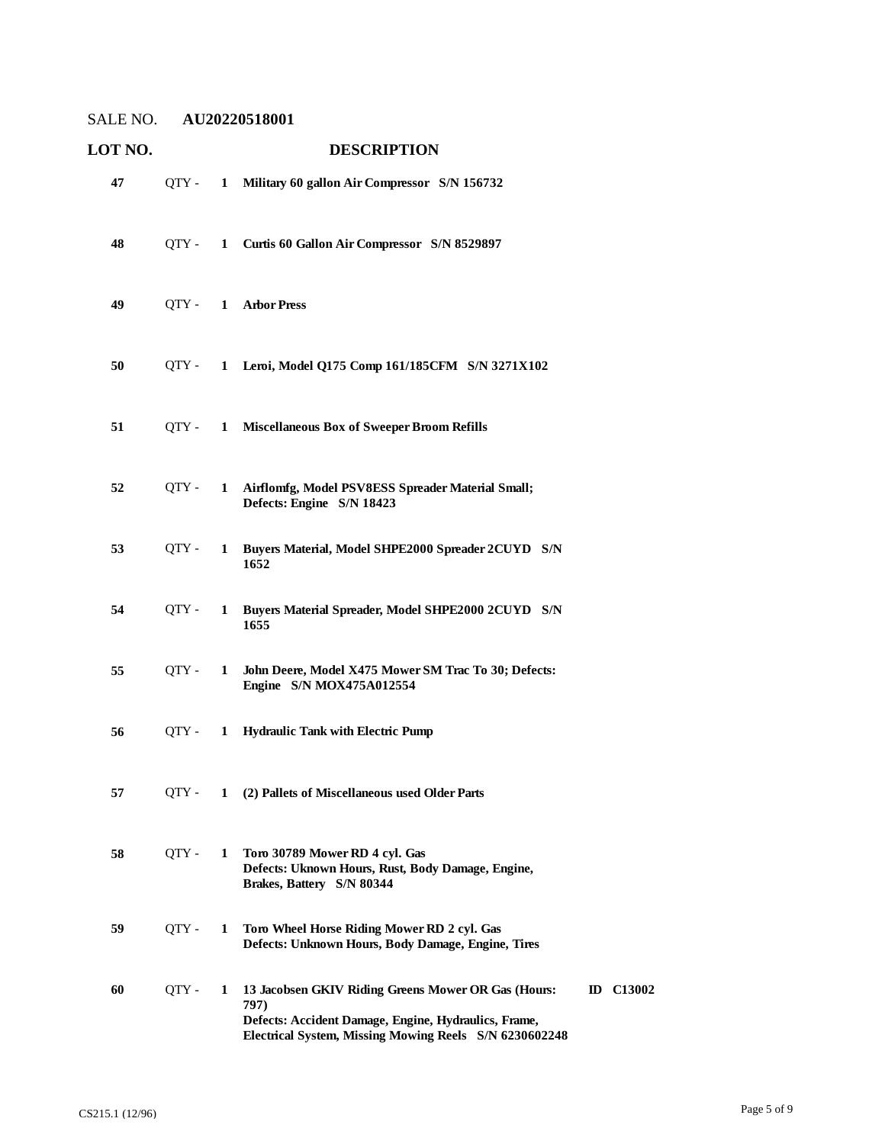| LOT NO. |       |              | <b>DESCRIPTION</b>                                                                                                                                                            |                  |
|---------|-------|--------------|-------------------------------------------------------------------------------------------------------------------------------------------------------------------------------|------------------|
| 47      | QTY - | $\mathbf{1}$ | Military 60 gallon Air Compressor S/N 156732                                                                                                                                  |                  |
| 48      | OTY - | 1            | Curtis 60 Gallon Air Compressor S/N 8529897                                                                                                                                   |                  |
| 49      | QTY - |              | 1 Arbor Press                                                                                                                                                                 |                  |
| 50      | OTY - | $\mathbf{1}$ | Leroi, Model Q175 Comp 161/185CFM S/N 3271X102                                                                                                                                |                  |
| 51      | OTY - | 1            | <b>Miscellaneous Box of Sweeper Broom Refills</b>                                                                                                                             |                  |
| 52      | QTY - | 1            | Airflomfg, Model PSV8ESS Spreader Material Small;<br>Defects: Engine S/N 18423                                                                                                |                  |
| 53      | OTY - | 1            | Buyers Material, Model SHPE2000 Spreader 2CUYD S/N<br>1652                                                                                                                    |                  |
| 54      | QTY - | 1            | Buyers Material Spreader, Model SHPE2000 2CUYD S/N<br>1655                                                                                                                    |                  |
| 55      | QTY - | 1            | John Deere, Model X475 Mower SM Trac To 30; Defects:<br>Engine S/N MOX475A012554                                                                                              |                  |
| 56      | OTY - | 1            | <b>Hydraulic Tank with Electric Pump</b>                                                                                                                                      |                  |
| 57      | QTY - | 1            | (2) Pallets of Miscellaneous used Older Parts                                                                                                                                 |                  |
| 58      | QTY - | 1            | Toro 30789 Mower RD 4 cyl. Gas<br>Defects: Uknown Hours, Rust, Body Damage, Engine,<br>Brakes, Battery S/N 80344                                                              |                  |
| 59      | QTY - | 1            | Toro Wheel Horse Riding Mower RD 2 cyl. Gas<br>Defects: Unknown Hours, Body Damage, Engine, Tires                                                                             |                  |
| 60      | QTY - | 1            | 13 Jacobsen GKIV Riding Greens Mower OR Gas (Hours:<br>797)<br>Defects: Accident Damage, Engine, Hydraulics, Frame,<br>Electrical System, Missing Mowing Reels S/N 6230602248 | <b>ID</b> C13002 |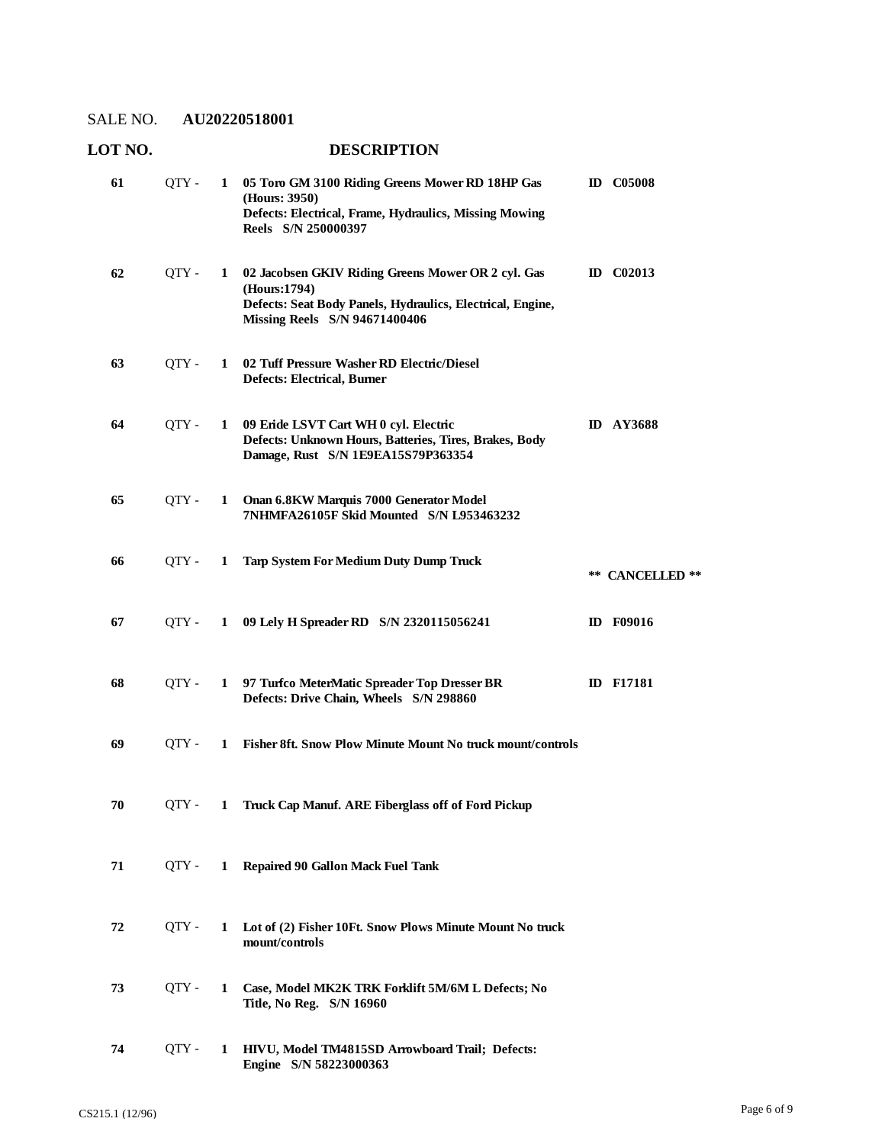| 61 | OTY - |              | 1 05 Toro GM 3100 Riding Greens Mower RD 18HP Gas<br>(Hours: 3950)<br>Defects: Electrical, Frame, Hydraulics, Missing Mowing<br>Reels S/N 250000397                      | <b>ID</b> C05008 |
|----|-------|--------------|--------------------------------------------------------------------------------------------------------------------------------------------------------------------------|------------------|
| 62 | QTY - | 1            | 02 Jacobsen GKIV Riding Greens Mower OR 2 cyl. Gas<br>(Hours:1794)<br>Defects: Seat Body Panels, Hydraulics, Electrical, Engine,<br><b>Missing Reels</b> S/N 94671400406 | <b>ID</b> C02013 |
| 63 | OTY - | 1            | 02 Tuff Pressure Washer RD Electric/Diesel<br><b>Defects: Electrical, Burner</b>                                                                                         |                  |
| 64 | QTY - | 1            | 09 Eride LSVT Cart WH 0 cyl. Electric<br>Defects: Unknown Hours, Batteries, Tires, Brakes, Body<br>Damage, Rust S/N 1E9EA15S79P363354                                    | <b>ID AY3688</b> |
| 65 | QTY - | $\mathbf{1}$ | Onan 6.8KW Marquis 7000 Generator Model<br>7NHMFA26105F Skid Mounted S/N L953463232                                                                                      |                  |
| 66 | OTY - | 1            | <b>Tarp System For Medium Duty Dump Truck</b>                                                                                                                            | ** CANCELLED **  |
| 67 | OTY - |              | 1 09 Lely H Spreader RD S/N 2320115056241                                                                                                                                | <b>ID</b> F09016 |
| 68 | OTY - | 1            | 97 Turfco MeterMatic Spreader Top Dresser BR<br>Defects: Drive Chain, Wheels S/N 298860                                                                                  | <b>ID</b> F17181 |
| 69 | OTY - | 1            | Fisher 8ft. Snow Plow Minute Mount No truck mount/controls                                                                                                               |                  |
| 70 | OTY - | $\mathbf{1}$ | Truck Cap Manuf. ARE Fiberglass off of Ford Pickup                                                                                                                       |                  |
| 71 | QTY - |              | 1 Repaired 90 Gallon Mack Fuel Tank                                                                                                                                      |                  |
| 72 | OTY - | $\mathbf{1}$ | Lot of (2) Fisher 10Ft. Snow Plows Minute Mount No truck<br>mount/controls                                                                                               |                  |
| 73 | QTY - | $\mathbf{1}$ | Case, Model MK2K TRK Forklift 5M/6M L Defects; No<br>Title, No Reg. S/N 16960                                                                                            |                  |
| 74 | OTY - | 1            | HIVU, Model TM4815SD Arrowboard Trail; Defects:<br>Engine S/N 58223000363                                                                                                |                  |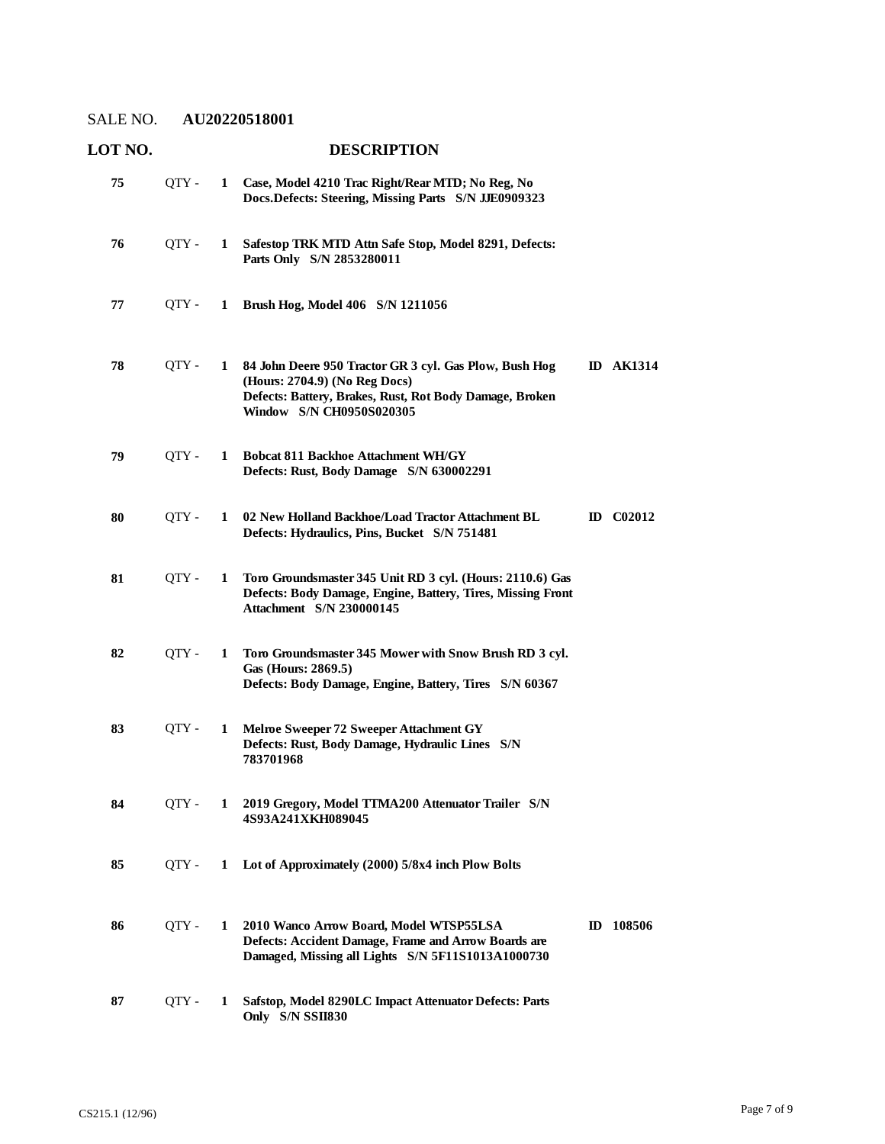| LOT NO. | <b>DESCRIPTION</b> |   |                                                                                                                                                                                |  |                  |
|---------|--------------------|---|--------------------------------------------------------------------------------------------------------------------------------------------------------------------------------|--|------------------|
| 75      | QTY -              | 1 | Case, Model 4210 Trac Right/Rear MTD; No Reg, No<br>Docs.Defects: Steering, Missing Parts S/N JJE0909323                                                                       |  |                  |
| 76      | QTY -              | 1 | Safestop TRK MTD Attn Safe Stop, Model 8291, Defects:<br>Parts Only S/N 2853280011                                                                                             |  |                  |
| 77      | QTY -              | 1 | Brush Hog, Model 406 S/N 1211056                                                                                                                                               |  |                  |
| 78      | QTY -              | 1 | 84 John Deere 950 Tractor GR 3 cyl. Gas Plow, Bush Hog<br>(Hours: 2704.9) (No Reg Docs)<br>Defects: Battery, Brakes, Rust, Rot Body Damage, Broken<br>Window S/N CH0950S020305 |  | <b>ID AK1314</b> |
| 79      | QTY -              | 1 | <b>Bobcat 811 Backhoe Attachment WH/GY</b><br>Defects: Rust, Body Damage S/N 630002291                                                                                         |  |                  |
| 80      | QTY-               | 1 | 02 New Holland Backhoe/Load Tractor Attachment BL<br>Defects: Hydraulics, Pins, Bucket S/N 751481                                                                              |  | <b>ID</b> C02012 |
| 81      | QTY -              | 1 | Toro Groundsmaster 345 Unit RD 3 cyl. (Hours: 2110.6) Gas<br>Defects: Body Damage, Engine, Battery, Tires, Missing Front<br><b>Attachment</b> S/N 230000145                    |  |                  |
| 82      | QTY -              | 1 | Toro Groundsmaster 345 Mower with Snow Brush RD 3 cyl.<br>Gas (Hours: 2869.5)<br>Defects: Body Damage, Engine, Battery, Tires S/N 60367                                        |  |                  |
| 83      | QTY-               | 1 | Melroe Sweeper 72 Sweeper Attachment GY<br>Defects: Rust, Body Damage, Hydraulic Lines S/N<br>783701968                                                                        |  |                  |
| 84      | QTY -              | 1 | 2019 Gregory, Model TTMA200 Attenuator Trailer S/N<br>4S93A241XKH089045                                                                                                        |  |                  |
| 85      | OTY -              | 1 | Lot of Approximately (2000) 5/8x4 inch Plow Bolts                                                                                                                              |  |                  |
| 86      | QTY -              | 1 | 2010 Wanco Arrow Board, Model WTSP55LSA<br>Defects: Accident Damage, Frame and Arrow Boards are<br>Damaged, Missing all Lights S/N 5F11S1013A1000730                           |  | ID 108506        |
| 87      | QTY-               | 1 | Safstop, Model 8290LC Impact Attenuator Defects: Parts<br>Only S/N SSII830                                                                                                     |  |                  |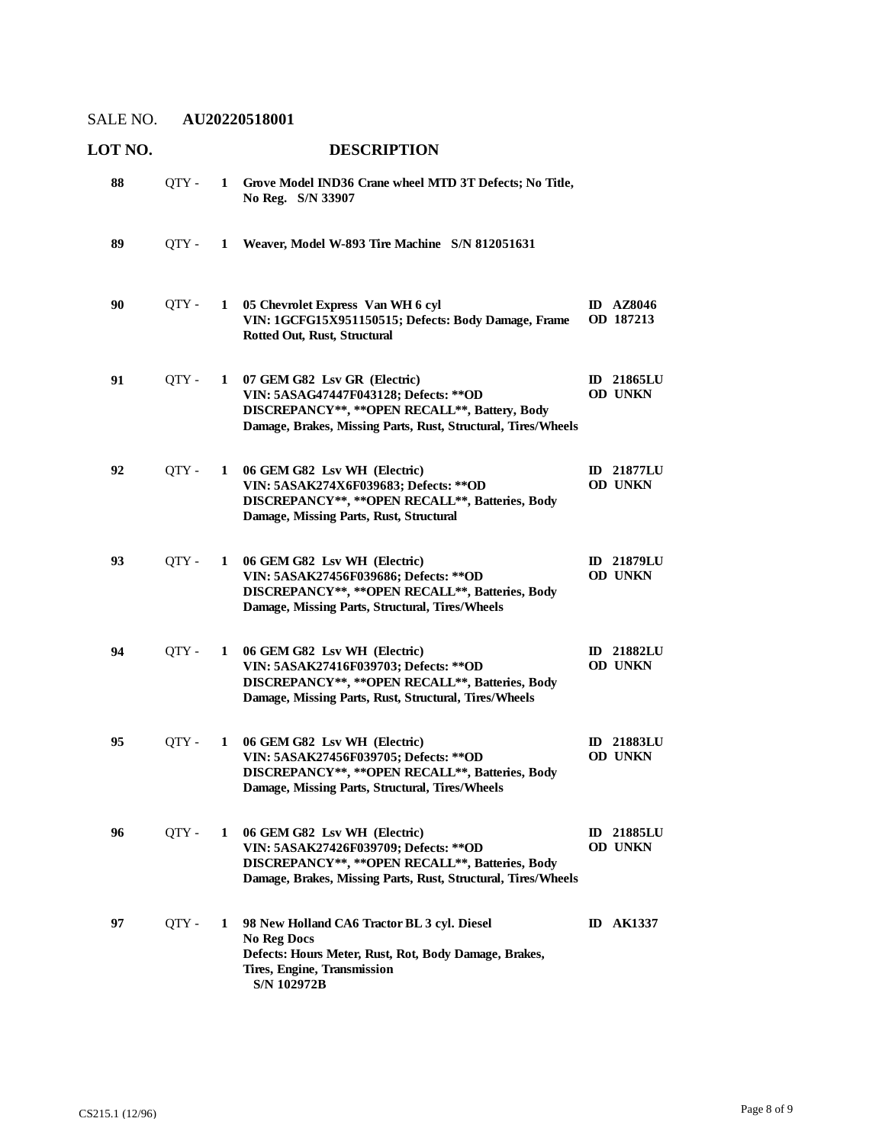| LOT NO. |       |   | <b>DESCRIPTION</b>                                                                                                                                                                          |                                     |
|---------|-------|---|---------------------------------------------------------------------------------------------------------------------------------------------------------------------------------------------|-------------------------------------|
| 88      | QTY - | 1 | Grove Model IND36 Crane wheel MTD 3T Defects; No Title,<br>No Reg. S/N 33907                                                                                                                |                                     |
| 89      | OTY - | 1 | Weaver, Model W-893 Tire Machine S/N 812051631                                                                                                                                              |                                     |
| 90      | QTY - | 1 | 05 Chevrolet Express Van WH 6 cyl<br>VIN: 1GCFG15X951150515; Defects: Body Damage, Frame<br>Rotted Out, Rust, Structural                                                                    | <b>ID</b> AZ8046<br>OD 187213       |
| 91      | QTY - | 1 | 07 GEM G82 Lsv GR (Electric)<br>VIN: 5ASAG47447F043128; Defects: ** OD<br>DISCREPANCY**, ** OPEN RECALL**, Battery, Body<br>Damage, Brakes, Missing Parts, Rust, Structural, Tires/Wheels   | <b>ID</b> 21865LU<br><b>OD UNKN</b> |
| 92      | QTY-  | 1 | 06 GEM G82 Lsv WH (Electric)<br>VIN: 5ASAK274X6F039683; Defects: ** OD<br>DISCREPANCY**, ** OPEN RECALL**, Batteries, Body<br>Damage, Missing Parts, Rust, Structural                       | <b>ID</b> 21877LU<br><b>OD UNKN</b> |
| 93      | QTY - | 1 | 06 GEM G82 Lsv WH (Electric)<br>VIN: 5ASAK27456F039686; Defects: ** OD<br>DISCREPANCY**, ** OPEN RECALL**, Batteries, Body<br>Damage, Missing Parts, Structural, Tires/Wheels               | <b>ID</b> 21879LU<br><b>OD UNKN</b> |
| 94      | QTY - | 1 | 06 GEM G82 Lsv WH (Electric)<br>VIN: 5ASAK27416F039703; Defects: ** OD<br>DISCREPANCY**, ** OPEN RECALL**, Batteries, Body<br>Damage, Missing Parts, Rust, Structural, Tires/Wheels         | <b>ID</b> 21882LU<br><b>OD UNKN</b> |
| 95      | QTY - | 1 | 06 GEM G82 Lsv WH (Electric)<br>VIN: 5ASAK27456F039705; Defects: ** OD<br>DISCREPANCY**, ** OPEN RECALL**, Batteries, Body<br>Damage, Missing Parts, Structural, Tires/Wheels               | <b>ID</b> 21883LU<br><b>OD UNKN</b> |
| 96      | QTY - | 1 | 06 GEM G82 Lsv WH (Electric)<br>VIN: 5ASAK27426F039709; Defects: ** OD<br>DISCREPANCY**, ** OPEN RECALL**, Batteries, Body<br>Damage, Brakes, Missing Parts, Rust, Structural, Tires/Wheels | <b>ID 21885LU</b><br>OD UNKN        |
| 97      | OTY - | 1 | 98 New Holland CA6 Tractor BL 3 cyl. Diesel<br><b>No Reg Docs</b><br>Defects: Hours Meter, Rust, Rot, Body Damage, Brakes,<br>Tires, Engine, Transmission<br>S/N 102972B                    | <b>ID AK1337</b>                    |